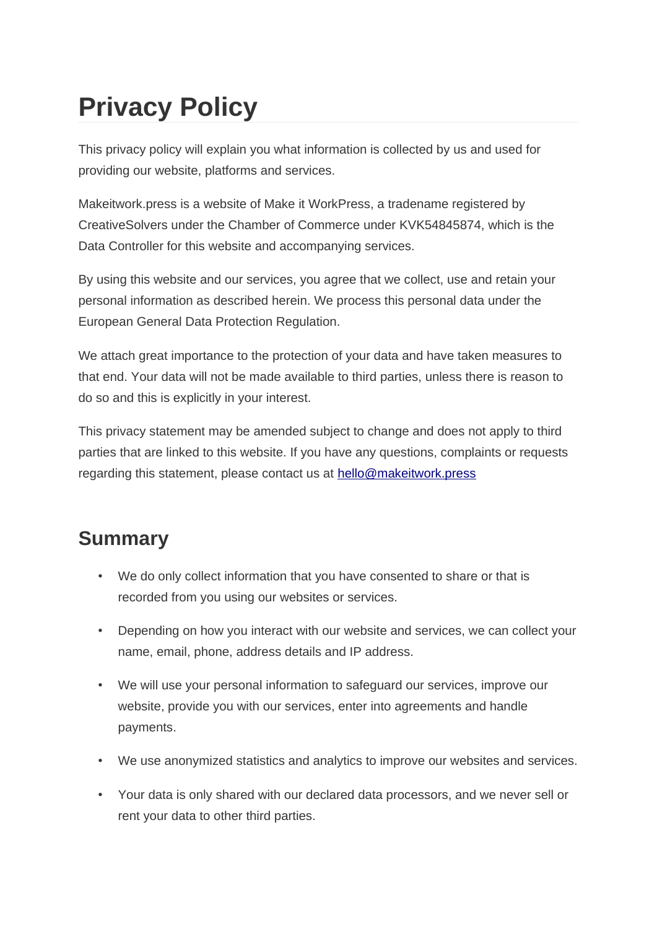# **Privacy Policy**

This privacy policy will explain you what information is collected by us and used for providing our website, platforms and services.

Makeitwork.press is a website of Make it WorkPress, a tradename registered by CreativeSolvers under the Chamber of Commerce under KVK54845874, which is the Data Controller for this website and accompanying services.

By using this website and our services, you agree that we collect, use and retain your personal information as described herein. We process this personal data under the European General Data Protection Regulation.

We attach great importance to the protection of your data and have taken measures to that end. Your data will not be made available to third parties, unless there is reason to do so and this is explicitly in your interest.

This privacy statement may be amended subject to change and does not apply to third parties that are linked to this website. If you have any questions, complaints or requests regarding this statement, please contact us at [hello@makeitwork.press](mailto:hello@makeitwork.press)

# **Summary**

- We do only collect information that you have consented to share or that is recorded from you using our websites or services.
- Depending on how you interact with our website and services, we can collect your name, email, phone, address details and IP address.
- We will use your personal information to safeguard our services, improve our website, provide you with our services, enter into agreements and handle payments.
- We use anonymized statistics and analytics to improve our websites and services.
- Your data is only shared with our declared data processors, and we never sell or rent your data to other third parties.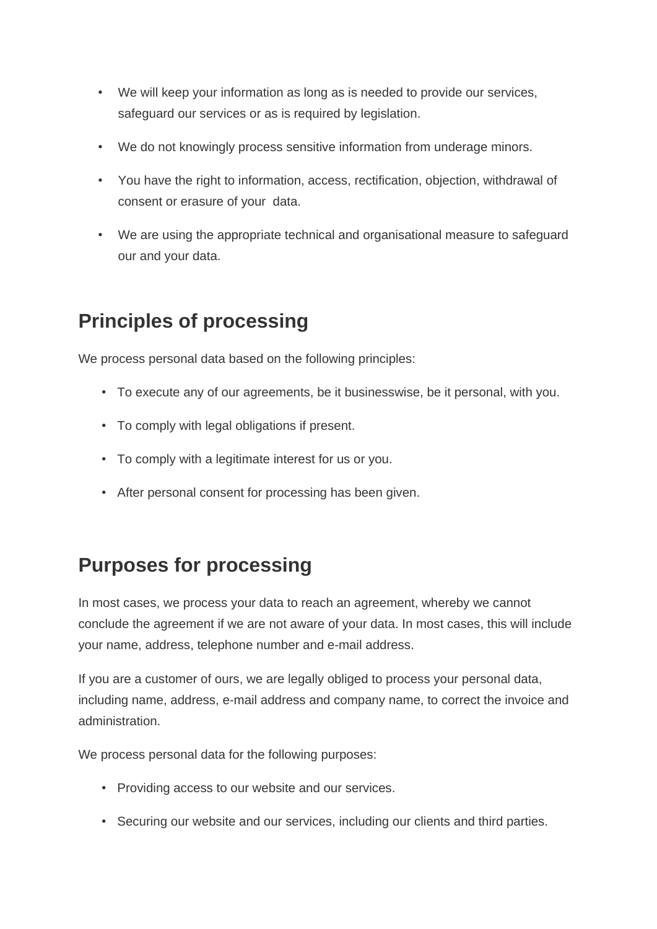- We will keep your information as long as is needed to provide our services, safeguard our services or as is required by legislation.
- We do not knowingly process sensitive information from underage minors.
- You have the right to information, access, rectification, objection, withdrawal of consent or erasure of your data.
- We are using the appropriate technical and organisational measure to safeguard our and your data.

# **Principles of processing**

We process personal data based on the following principles:

- To execute any of our agreements, be it businesswise, be it personal, with you.
- To comply with legal obligations if present.
- To comply with a legitimate interest for us or you.
- After personal consent for processing has been given.

# **Purposes for processing**

In most cases, we process your data to reach an agreement, whereby we cannot conclude the agreement if we are not aware of your data. In most cases, this will include your name, address, telephone number and e-mail address.

If you are a customer of ours, we are legally obliged to process your personal data, including name, address, e-mail address and company name, to correct the invoice and administration.

We process personal data for the following purposes:

- Providing access to our website and our services.
- Securing our website and our services, including our clients and third parties.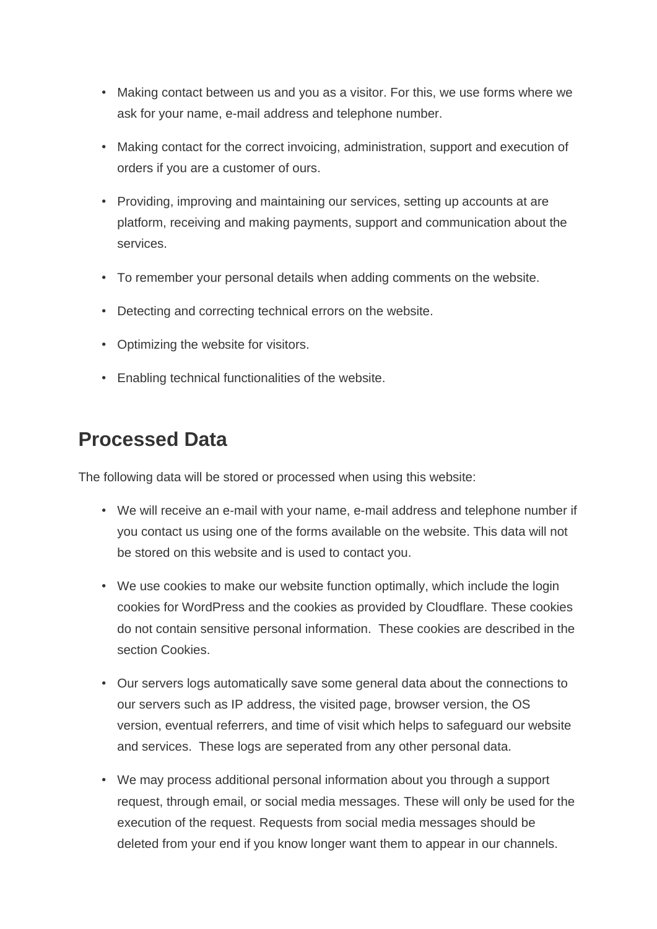- Making contact between us and you as a visitor. For this, we use forms where we ask for your name, e-mail address and telephone number.
- Making contact for the correct invoicing, administration, support and execution of orders if you are a customer of ours.
- Providing, improving and maintaining our services, setting up accounts at are platform, receiving and making payments, support and communication about the services.
- To remember your personal details when adding comments on the website.
- Detecting and correcting technical errors on the website.
- Optimizing the website for visitors.
- Enabling technical functionalities of the website.

#### **Processed Data**

The following data will be stored or processed when using this website:

- We will receive an e-mail with your name, e-mail address and telephone number if you contact us using one of the forms available on the website. This data will not be stored on this website and is used to contact you.
- We use cookies to make our website function optimally, which include the login cookies for WordPress and the cookies as provided by Cloudflare. These cookies do not contain sensitive personal information. These cookies are described in the section Cookies.
- Our servers logs automatically save some general data about the connections to our servers such as IP address, the visited page, browser version, the OS version, eventual referrers, and time of visit which helps to safeguard our website and services. These logs are seperated from any other personal data.
- We may process additional personal information about you through a support request, through email, or social media messages. These will only be used for the execution of the request. Requests from social media messages should be deleted from your end if you know longer want them to appear in our channels.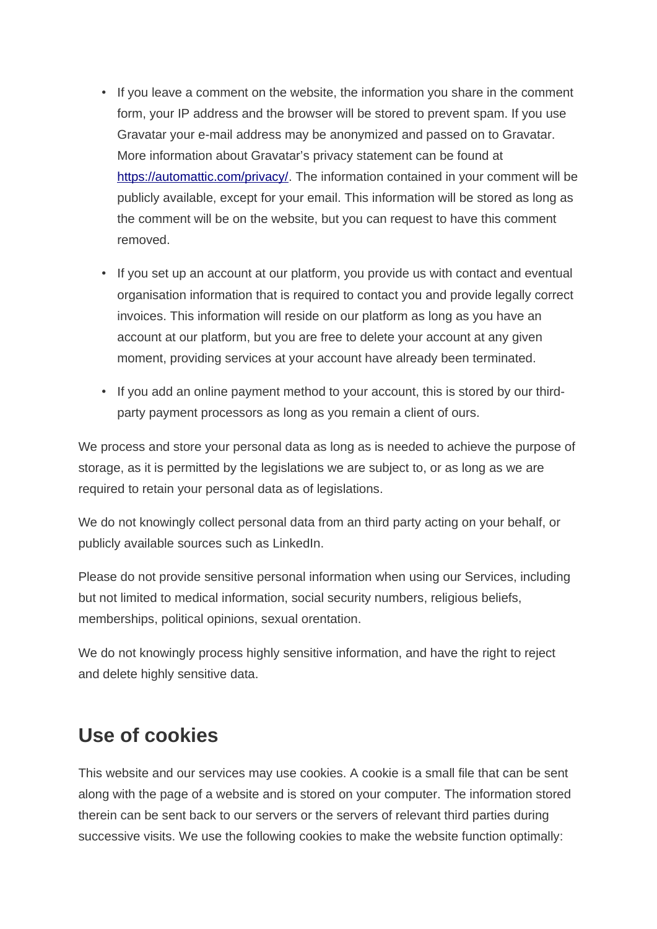- If you leave a comment on the website, the information you share in the comment form, your IP address and the browser will be stored to prevent spam. If you use Gravatar your e-mail address may be anonymized and passed on to Gravatar. More information about Gravatar's privacy statement can be found at [https://automattic.com/privacy/.](https://automattic.com/privacy/) The information contained in your comment will be publicly available, except for your email. This information will be stored as long as the comment will be on the website, but you can request to have this comment removed.
- If you set up an account at our platform, you provide us with contact and eventual organisation information that is required to contact you and provide legally correct invoices. This information will reside on our platform as long as you have an account at our platform, but you are free to delete your account at any given moment, providing services at your account have already been terminated.
- If you add an online payment method to your account, this is stored by our thirdparty payment processors as long as you remain a client of ours.

We process and store your personal data as long as is needed to achieve the purpose of storage, as it is permitted by the legislations we are subject to, or as long as we are required to retain your personal data as of legislations.

We do not knowingly collect personal data from an third party acting on your behalf, or publicly available sources such as LinkedIn.

Please do not provide sensitive personal information when using our Services, including but not limited to medical information, social security numbers, religious beliefs, memberships, political opinions, sexual orentation.

We do not knowingly process highly sensitive information, and have the right to reject and delete highly sensitive data.

### **Use of cookies**

This website and our services may use cookies. A cookie is a small file that can be sent along with the page of a website and is stored on your computer. The information stored therein can be sent back to our servers or the servers of relevant third parties during successive visits. We use the following cookies to make the website function optimally: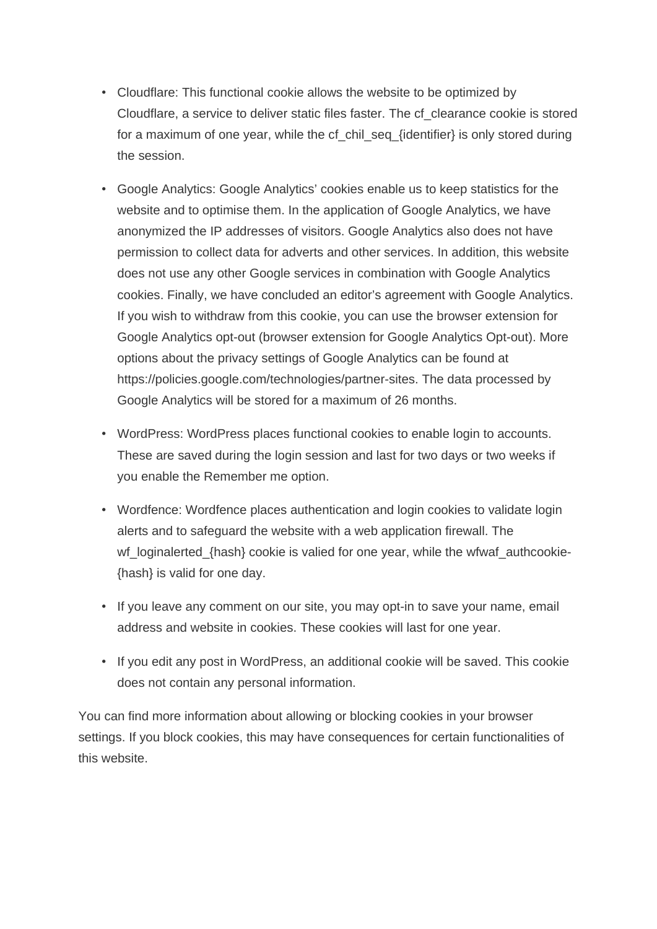- Cloudflare: This functional cookie allows the website to be optimized by Cloudflare, a service to deliver static files faster. The cf\_clearance cookie is stored for a maximum of one year, while the cf chil seq {identifier} is only stored during the session.
- Google Analytics: Google Analytics' cookies enable us to keep statistics for the website and to optimise them. In the application of Google Analytics, we have anonymized the IP addresses of visitors. Google Analytics also does not have permission to collect data for adverts and other services. In addition, this website does not use any other Google services in combination with Google Analytics cookies. Finally, we have concluded an editor's agreement with Google Analytics. If you wish to withdraw from this cookie, you can use the browser extension for Google Analytics opt-out (browser extension for Google Analytics Opt-out). More options about the privacy settings of Google Analytics can be found at https://policies.google.com/technologies/partner-sites. The data processed by Google Analytics will be stored for a maximum of 26 months.
- WordPress: WordPress places functional cookies to enable login to accounts. These are saved during the login session and last for two days or two weeks if you enable the Remember me option.
- Wordfence: Wordfence places authentication and login cookies to validate login alerts and to safeguard the website with a web application firewall. The wf loginalerted {hash} cookie is valied for one year, while the wfwaf authcookie-{hash} is valid for one day.
- If you leave any comment on our site, you may opt-in to save your name, email address and website in cookies. These cookies will last for one year.
- If you edit any post in WordPress, an additional cookie will be saved. This cookie does not contain any personal information.

You can find more information about allowing or blocking cookies in your browser settings. If you block cookies, this may have consequences for certain functionalities of this website.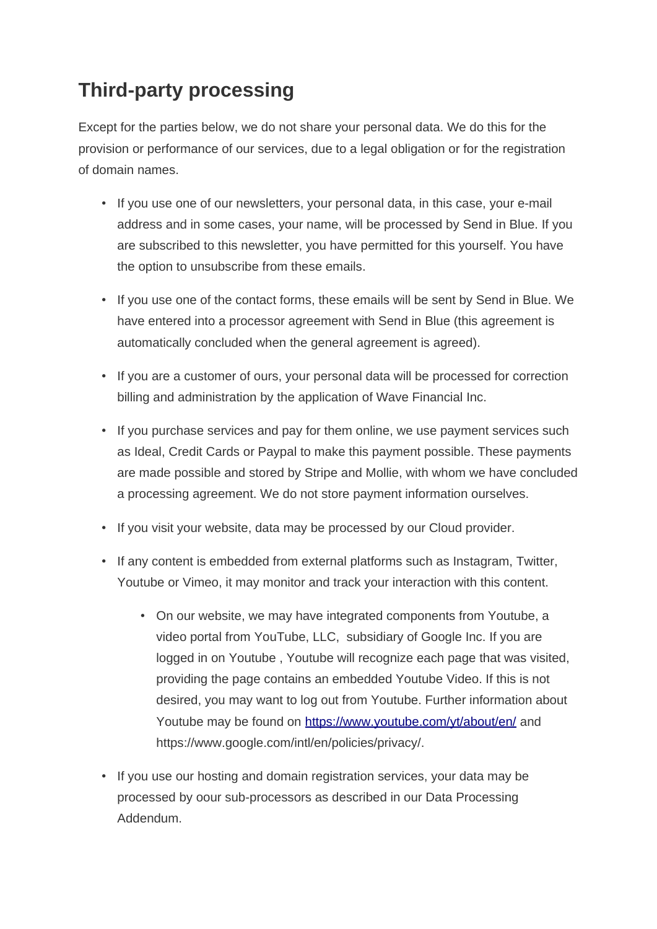# **Third-party processing**

Except for the parties below, we do not share your personal data. We do this for the provision or performance of our services, due to a legal obligation or for the registration of domain names.

- If you use one of our newsletters, your personal data, in this case, your e-mail address and in some cases, your name, will be processed by Send in Blue. If you are subscribed to this newsletter, you have permitted for this yourself. You have the option to unsubscribe from these emails.
- If you use one of the contact forms, these emails will be sent by Send in Blue. We have entered into a processor agreement with Send in Blue (this agreement is automatically concluded when the general agreement is agreed).
- If you are a customer of ours, your personal data will be processed for correction billing and administration by the application of Wave Financial Inc.
- If you purchase services and pay for them online, we use payment services such as Ideal, Credit Cards or Paypal to make this payment possible. These payments are made possible and stored by Stripe and Mollie, with whom we have concluded a processing agreement. We do not store payment information ourselves.
- If you visit your website, data may be processed by our Cloud provider.
- If any content is embedded from external platforms such as Instagram, Twitter, Youtube or Vimeo, it may monitor and track your interaction with this content.
	- On our website, we may have integrated components from Youtube, a video portal from YouTube, LLC, subsidiary of Google Inc. If you are logged in on Youtube , Youtube will recognize each page that was visited, providing the page contains an embedded Youtube Video. If this is not desired, you may want to log out from Youtube. Further information about Youtube may be found on<https://www.youtube.com/yt/about/en/> and https://www.google.com/intl/en/policies/privacy/.
- If you use our hosting and domain registration services, your data may be processed by oour sub-processors as described in our Data Processing Addendum.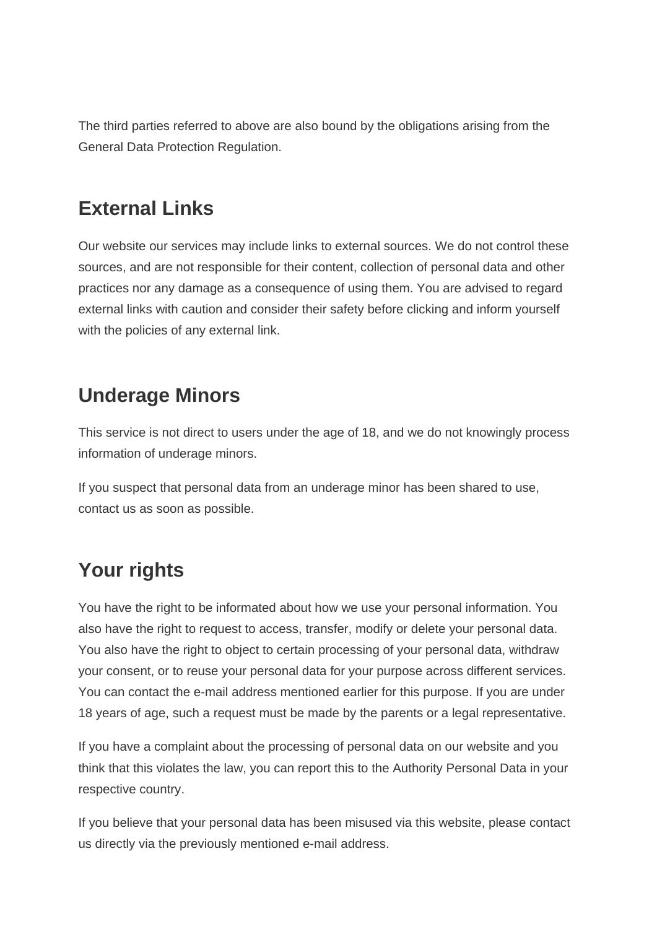The third parties referred to above are also bound by the obligations arising from the General Data Protection Regulation.

### **External Links**

Our website our services may include links to external sources. We do not control these sources, and are not responsible for their content, collection of personal data and other practices nor any damage as a consequence of using them. You are advised to regard external links with caution and consider their safety before clicking and inform yourself with the policies of any external link.

#### **Underage Minors**

This service is not direct to users under the age of 18, and we do not knowingly process information of underage minors.

If you suspect that personal data from an underage minor has been shared to use, contact us as soon as possible.

# **Your rights**

You have the right to be informated about how we use your personal information. You also have the right to request to access, transfer, modify or delete your personal data. You also have the right to object to certain processing of your personal data, withdraw your consent, or to reuse your personal data for your purpose across different services. You can contact the e-mail address mentioned earlier for this purpose. If you are under 18 years of age, such a request must be made by the parents or a legal representative.

If you have a complaint about the processing of personal data on our website and you think that this violates the law, you can report this to the Authority Personal Data in your respective country.

If you believe that your personal data has been misused via this website, please contact us directly via the previously mentioned e-mail address.